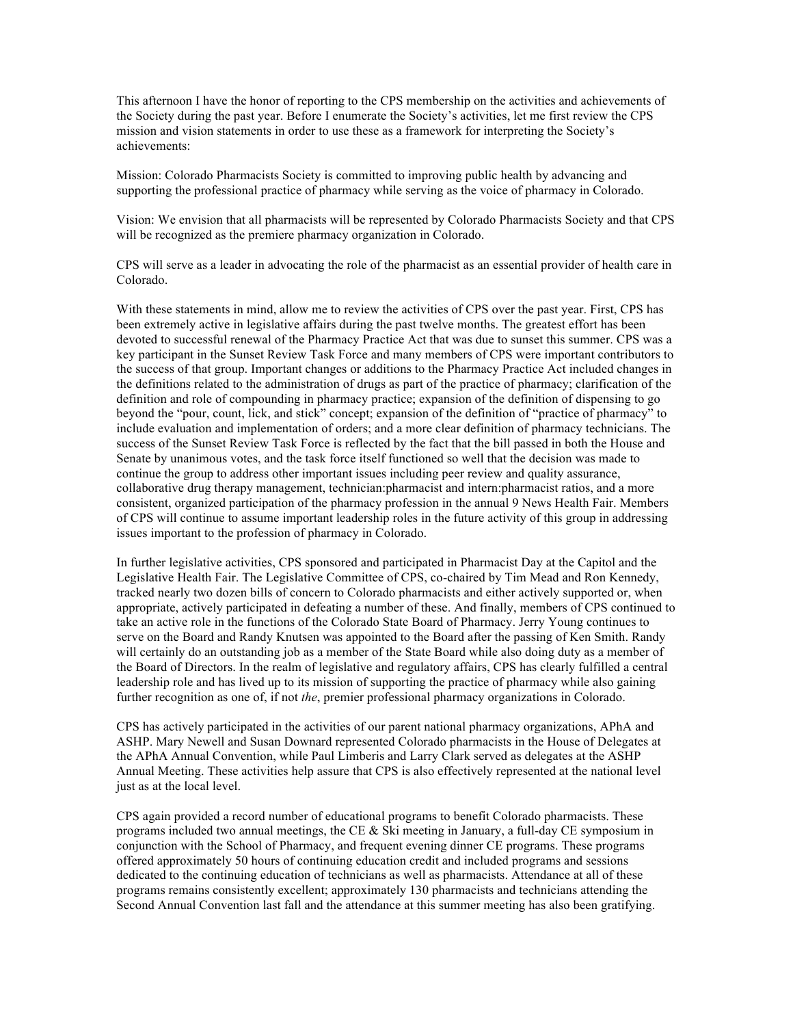This afternoon I have the honor of reporting to the CPS membership on the activities and achievements of the Society during the past year. Before I enumerate the Society's activities, let me first review the CPS mission and vision statements in order to use these as a framework for interpreting the Society's achievements:

Mission: Colorado Pharmacists Society is committed to improving public health by advancing and supporting the professional practice of pharmacy while serving as the voice of pharmacy in Colorado.

Vision: We envision that all pharmacists will be represented by Colorado Pharmacists Society and that CPS will be recognized as the premiere pharmacy organization in Colorado.

CPS will serve as a leader in advocating the role of the pharmacist as an essential provider of health care in Colorado.

With these statements in mind, allow me to review the activities of CPS over the past year. First, CPS has been extremely active in legislative affairs during the past twelve months. The greatest effort has been devoted to successful renewal of the Pharmacy Practice Act that was due to sunset this summer. CPS was a key participant in the Sunset Review Task Force and many members of CPS were important contributors to the success of that group. Important changes or additions to the Pharmacy Practice Act included changes in the definitions related to the administration of drugs as part of the practice of pharmacy; clarification of the definition and role of compounding in pharmacy practice; expansion of the definition of dispensing to go beyond the "pour, count, lick, and stick" concept; expansion of the definition of "practice of pharmacy" to include evaluation and implementation of orders; and a more clear definition of pharmacy technicians. The success of the Sunset Review Task Force is reflected by the fact that the bill passed in both the House and Senate by unanimous votes, and the task force itself functioned so well that the decision was made to continue the group to address other important issues including peer review and quality assurance, collaborative drug therapy management, technician:pharmacist and intern:pharmacist ratios, and a more consistent, organized participation of the pharmacy profession in the annual 9 News Health Fair. Members of CPS will continue to assume important leadership roles in the future activity of this group in addressing issues important to the profession of pharmacy in Colorado.

In further legislative activities, CPS sponsored and participated in Pharmacist Day at the Capitol and the Legislative Health Fair. The Legislative Committee of CPS, co-chaired by Tim Mead and Ron Kennedy, tracked nearly two dozen bills of concern to Colorado pharmacists and either actively supported or, when appropriate, actively participated in defeating a number of these. And finally, members of CPS continued to take an active role in the functions of the Colorado State Board of Pharmacy. Jerry Young continues to serve on the Board and Randy Knutsen was appointed to the Board after the passing of Ken Smith. Randy will certainly do an outstanding job as a member of the State Board while also doing duty as a member of the Board of Directors. In the realm of legislative and regulatory affairs, CPS has clearly fulfilled a central leadership role and has lived up to its mission of supporting the practice of pharmacy while also gaining further recognition as one of, if not *the*, premier professional pharmacy organizations in Colorado.

CPS has actively participated in the activities of our parent national pharmacy organizations, APhA and ASHP. Mary Newell and Susan Downard represented Colorado pharmacists in the House of Delegates at the APhA Annual Convention, while Paul Limberis and Larry Clark served as delegates at the ASHP Annual Meeting. These activities help assure that CPS is also effectively represented at the national level just as at the local level.

CPS again provided a record number of educational programs to benefit Colorado pharmacists. These programs included two annual meetings, the CE & Ski meeting in January, a full-day CE symposium in conjunction with the School of Pharmacy, and frequent evening dinner CE programs. These programs offered approximately 50 hours of continuing education credit and included programs and sessions dedicated to the continuing education of technicians as well as pharmacists. Attendance at all of these programs remains consistently excellent; approximately 130 pharmacists and technicians attending the Second Annual Convention last fall and the attendance at this summer meeting has also been gratifying.